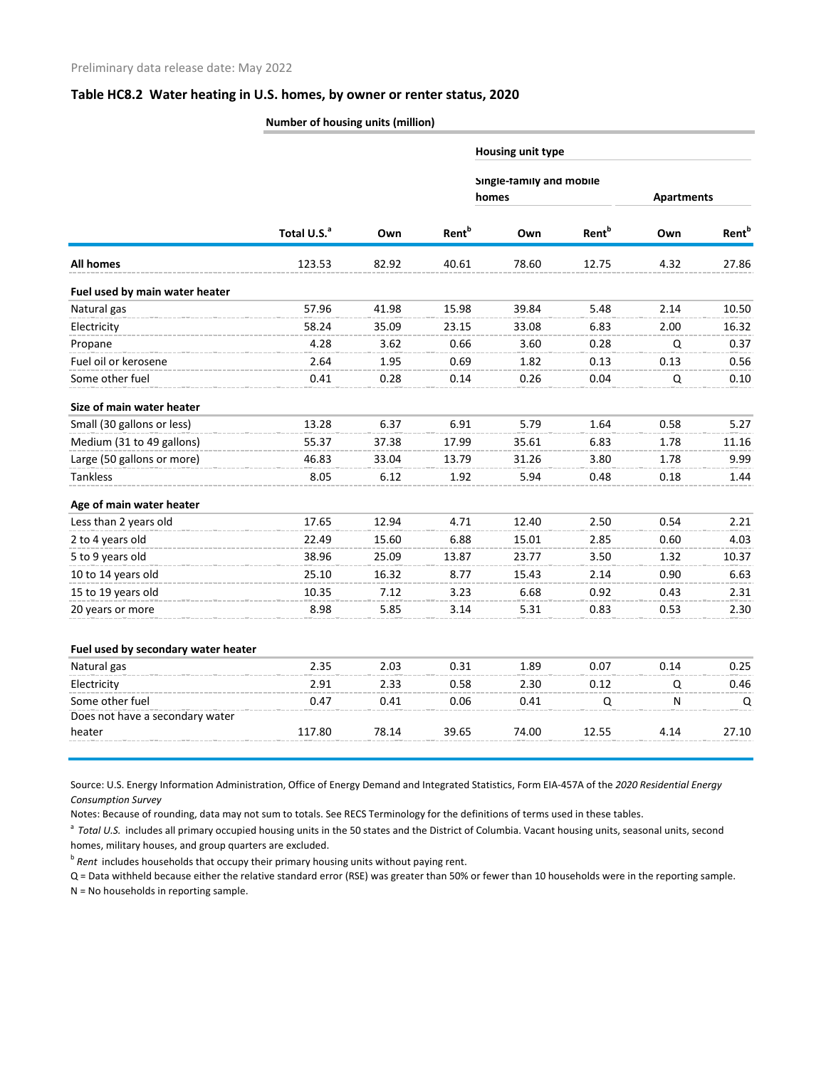## **Table HC8.2 Water heating in U.S. homes, by owner or renter status, 2020**

**Number of housing units (million)**

|                                     |                         | Own   | Rent <sup>b</sup> | Housing unit type                 |                   |                   |                   |
|-------------------------------------|-------------------------|-------|-------------------|-----------------------------------|-------------------|-------------------|-------------------|
|                                     | Total U.S. <sup>a</sup> |       |                   | Single-family and mobile<br>homes |                   | <b>Apartments</b> |                   |
|                                     |                         |       |                   | Own                               | Rent <sup>b</sup> | Own               | Rent <sup>b</sup> |
| <b>All homes</b>                    | 123.53                  | 82.92 | 40.61             | 78.60                             | 12.75             | 4.32              | 27.86             |
| Fuel used by main water heater      |                         |       |                   |                                   |                   |                   |                   |
| Natural gas                         | 57.96                   | 41.98 | 15.98             | 39.84                             | 5.48              | 2.14              | 10.50             |
| Electricity                         | 58.24                   | 35.09 | 23.15             | 33.08                             | 6.83              | 2.00              | 16.32             |
| Propane                             | 4.28                    | 3.62  | 0.66              | 3.60                              | 0.28              | Q                 | 0.37              |
| Fuel oil or kerosene                | 2.64                    | 1.95  | 0.69              | 1.82                              | 0.13              | 0.13              | 0.56              |
| Some other fuel                     | 0.41                    | 0.28  | 0.14              | 0.26                              | 0.04              | Q                 | 0.10              |
| Size of main water heater           |                         |       |                   |                                   |                   |                   |                   |
| Small (30 gallons or less)          | 13.28                   | 6.37  | 6.91              | 5.79                              | 1.64              | 0.58              | 5.27              |
| Medium (31 to 49 gallons)           | 55.37                   | 37.38 | 17.99             | 35.61                             | 6.83              | 1.78              | 11.16             |
| Large (50 gallons or more)          | 46.83                   | 33.04 | 13.79             | 31.26                             | 3.80              | 1.78              | 9.99              |
| <b>Tankless</b>                     | 8.05                    | 6.12  | 1.92              | 5.94                              | 0.48              | 0.18              | 1.44              |
| Age of main water heater            |                         |       |                   |                                   |                   |                   |                   |
| Less than 2 years old               | 17.65                   | 12.94 | 4.71              | 12.40                             | 2.50              | 0.54              | 2.21              |
| 2 to 4 years old                    | 22.49                   | 15.60 | 6.88              | 15.01                             | 2.85              | 0.60              | 4.03              |
| 5 to 9 years old                    | 38.96                   | 25.09 | 13.87             | 23.77                             | 3.50              | 1.32              | 10.37             |
| 10 to 14 years old                  | 25.10                   | 16.32 | 8.77              | 15.43                             | 2.14              | 0.90              | 6.63              |
| 15 to 19 years old                  | 10.35                   | 7.12  | 3.23              | 6.68                              | 0.92              | 0.43              | 2.31              |
| 20 years or more                    | 8.98                    | 5.85  | 3.14              | 5.31                              | 0.83              | 0.53              | 2.30              |
| Fuel used by secondary water heater |                         |       |                   |                                   |                   |                   |                   |
| Natural gas                         | 2.35                    | 2.03  | 0.31              | 1.89                              | 0.07              | 0.14              | 0.25              |
| Electricity                         | 2.91                    | 2.33  | 0.58              | 2.30                              | 0.12              | Q                 | 0.46              |
| Some other fuel                     | 0.47                    | 0.41  | 0.06              | 0.41                              | $\Omega$          | ${\sf N}$         | Q                 |
| Does not have a secondary water     |                         |       |                   |                                   |                   |                   |                   |
| heater                              | 117.80                  | 78.14 | 39.65             | 74.00                             | 12.55             | 4.14              | 27.10             |

Source: U.S. Energy Information Administration, Office of Energy Demand and Integrated Statistics, Form EIA-457A of the *2020 Residential Energy Consumption Survey*

Notes: Because of rounding, data may not sum to totals. See RECS Terminology for the definitions of terms used in these tables.

<sup>a</sup> Total U.S. includes all primary occupied housing units in the 50 states and the District of Columbia. Vacant housing units, seasonal units, second homes, military houses, and group quarters are excluded.

<sup>b</sup> Rent includes households that occupy their primary housing units without paying rent.

Q = Data withheld because either the relative standard error (RSE) was greater than 50% or fewer than 10 households were in the reporting sample. N = No households in reporting sample.